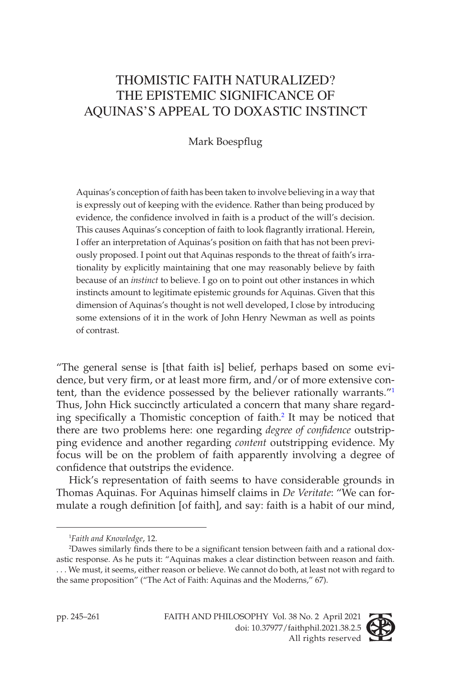# THOMISTIC FAITH NATURALIZED? THE EPISTEMIC SIGNIFICANCE OF AQUINAS'S APPEAL TO DOXASTIC INSTINCT

# Mark Boespflug

Aquinas's conception of faith has been taken to involve believing in a way that is expressly out of keeping with the evidence. Rather than being produced by evidence, the confidence involved in faith is a product of the will's decision. This causes Aquinas's conception of faith to look flagrantly irrational. Herein, I offer an interpretation of Aquinas's position on faith that has not been previously proposed. I point out that Aquinas responds to the threat of faith's irrationality by explicitly maintaining that one may reasonably believe by faith because of an *instinct* to believe. I go on to point out other instances in which instincts amount to legitimate epistemic grounds for Aquinas. Given that this dimension of Aquinas's thought is not well developed, I close by introducing some extensions of it in the work of John Henry Newman as well as points of contrast.

"The general sense is [that faith is] belief, perhaps based on some evidence, but very firm, or at least more firm, and/or of more extensive content, than the evidence possessed by the believer rationally warrants."<sup>1</sup> Thus, John Hick succinctly articulated a concern that many share regarding specifically a Thomistic conception of faith.<sup>2</sup> It may be noticed that there are two problems here: one regarding *degree of confidence* outstripping evidence and another regarding *content* outstripping evidence. My focus will be on the problem of faith apparently involving a degree of confidence that outstrips the evidence.

Hick's representation of faith seems to have considerable grounds in Thomas Aquinas. For Aquinas himself claims in *De Veritate*: "We can formulate a rough definition [of faith], and say: faith is a habit of our mind,



<sup>1</sup> *Faith and Knowledge*, 12.

<sup>2</sup> Dawes similarly finds there to be a significant tension between faith and a rational doxastic response. As he puts it: "Aquinas makes a clear distinction between reason and faith. . . . We must, it seems, either reason or believe. We cannot do both, at least not with regard to the same proposition" ("The Act of Faith: Aquinas and the Moderns," 67).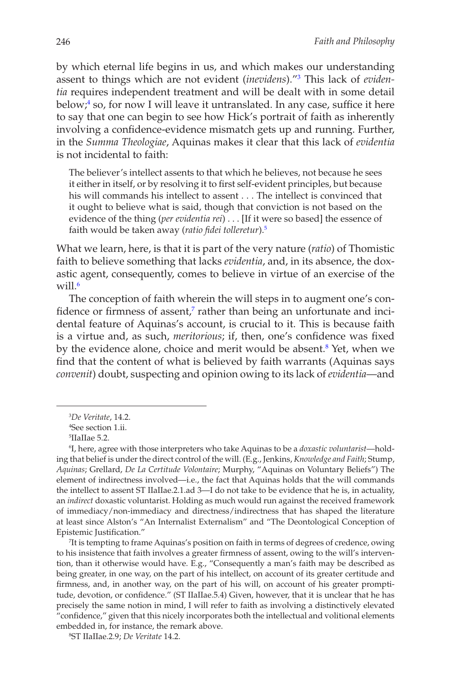by which eternal life begins in us, and which makes our understanding assent to things which are not evident (*inevidens*)."3 This lack of *evidentia* requires independent treatment and will be dealt with in some detail below;<sup>4</sup> so, for now I will leave it untranslated. In any case, suffice it here to say that one can begin to see how Hick's portrait of faith as inherently involving a confidence-evidence mismatch gets up and running. Further, in the *Summa Theologiae*, Aquinas makes it clear that this lack of *evidentia* is not incidental to faith:

The believer's intellect assents to that which he believes, not because he sees it either in itself, or by resolving it to first self-evident principles, but because his will commands his intellect to assent . . . The intellect is convinced that it ought to believe what is said, though that conviction is not based on the evidence of the thing (*per evidentia rei*) . . . [If it were so based] the essence of faith would be taken away (*ratio fidei tolleretur*).5

What we learn, here, is that it is part of the very nature (*ratio*) of Thomistic faith to believe something that lacks *evidentia*, and, in its absence, the doxastic agent, consequently, comes to believe in virtue of an exercise of the will. $6$ 

The conception of faith wherein the will steps in to augment one's confidence or firmness of assent,<sup>7</sup> rather than being an unfortunate and incidental feature of Aquinas's account, is crucial to it. This is because faith is a virtue and, as such, *meritorious*; if, then, one's confidence was fixed by the evidence alone, choice and merit would be absent.<sup>8</sup> Yet, when we find that the content of what is believed by faith warrants (Aquinas says *convenit*) doubt, suspecting and opinion owing to its lack of *evidentia*—and

7 It is tempting to frame Aquinas's position on faith in terms of degrees of credence, owing to his insistence that faith involves a greater firmness of assent, owing to the will's intervention, than it otherwise would have. E.g., "Consequently a man's faith may be described as being greater, in one way, on the part of his intellect, on account of its greater certitude and firmness, and, in another way, on the part of his will, on account of his greater promptitude, devotion, or confidence." (ST IIaIIae.5.4) Given, however, that it is unclear that he has precisely the same notion in mind, I will refer to faith as involving a distinctively elevated "confidence," given that this nicely incorporates both the intellectual and volitional elements embedded in, for instance, the remark above.

<sup>3</sup> *De Veritate*, 14.2.

<sup>4</sup> See section 1.ii.

<sup>5</sup> IIaIIae 5.2.

<sup>6</sup> I, here, agree with those interpreters who take Aquinas to be a *doxastic voluntarist*—holding that belief is under the direct control of the will. (E.g., Jenkins, *Knowledge and Faith*; Stump, *Aquinas*; Grellard, *De La Certitude Volontaire*; Murphy, "Aquinas on Voluntary Beliefs") The element of indirectness involved—i.e., the fact that Aquinas holds that the will commands the intellect to assent ST IIaIIae.2.1.ad 3—I do not take to be evidence that he is, in actuality, an *indirect* doxastic voluntarist. Holding as much would run against the received framework of immediacy/non-immediacy and directness/indirectness that has shaped the literature at least since Alston's "An Internalist Externalism" and "The Deontological Conception of Epistemic Justification."

<sup>8</sup> ST IIaIIae.2.9; *De Veritate* 14.2.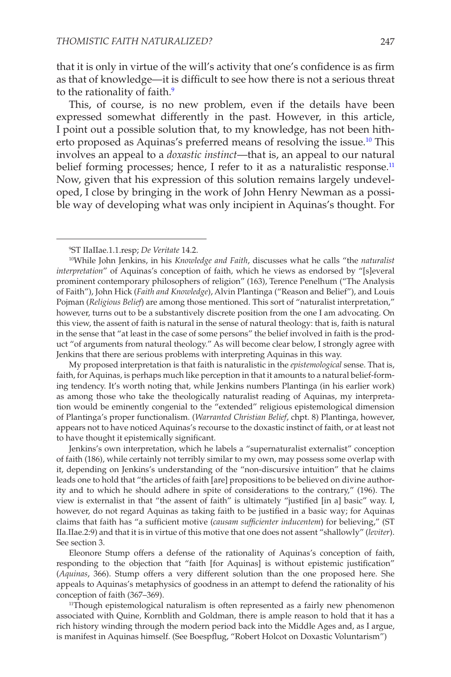that it is only in virtue of the will's activity that one's confidence is as firm as that of knowledge—it is difficult to see how there is not a serious threat to the rationality of faith.<sup>9</sup>

This, of course, is no new problem, even if the details have been expressed somewhat differently in the past. However, in this article, I point out a possible solution that, to my knowledge, has not been hitherto proposed as Aquinas's preferred means of resolving the issue.<sup>10</sup> This involves an appeal to a *doxastic instinct*—that is, an appeal to our natural belief forming processes; hence, I refer to it as a naturalistic response. $11$ Now, given that his expression of this solution remains largely undeveloped, I close by bringing in the work of John Henry Newman as a possible way of developing what was only incipient in Aquinas's thought. For

My proposed interpretation is that faith is naturalistic in the *epistemological* sense. That is, faith, for Aquinas, is perhaps much like perception in that it amounts to a natural belief-forming tendency. It's worth noting that, while Jenkins numbers Plantinga (in his earlier work) as among those who take the theologically naturalist reading of Aquinas, my interpretation would be eminently congenial to the "extended" religious epistemological dimension of Plantinga's proper functionalism. (*Warranted Christian Belief*, chpt. 8) Plantinga, however, appears not to have noticed Aquinas's recourse to the doxastic instinct of faith, or at least not to have thought it epistemically significant.

Jenkins's own interpretation, which he labels a "supernaturalist externalist" conception of faith (186), while certainly not terribly similar to my own, may possess some overlap with it, depending on Jenkins's understanding of the "non-discursive intuition" that he claims leads one to hold that "the articles of faith [are] propositions to be believed on divine authority and to which he should adhere in spite of considerations to the contrary," (196). The view is externalist in that "the assent of faith" is ultimately "justified [in a] basic" way. I, however, do not regard Aquinas as taking faith to be justified in a basic way; for Aquinas claims that faith has "a sufficient motive (*causam sufficienter inducentem*) for believing," (ST IIa.IIae.2:9) and that it is in virtue of this motive that one does not assent "shallowly" (*leviter*). See section 3.

Eleonore Stump offers a defense of the rationality of Aquinas's conception of faith, responding to the objection that "faith [for Aquinas] is without epistemic justification" (*Aquinas*, 366). Stump offers a very different solution than the one proposed here. She appeals to Aquinas's metaphysics of goodness in an attempt to defend the rationality of his conception of faith (367–369).

<sup>11</sup>Though epistemological naturalism is often represented as a fairly new phenomenon associated with Quine, Kornblith and Goldman, there is ample reason to hold that it has a rich history winding through the modern period back into the Middle Ages and, as I argue, is manifest in Aquinas himself. (See Boespflug, "Robert Holcot on Doxastic Voluntarism")

<sup>9</sup> ST IIaIIae.1.1.resp; *De Veritate* 14.2.

<sup>10</sup>While John Jenkins, in his *Knowledge and Faith*, discusses what he calls "the *naturalist interpretation*" of Aquinas's conception of faith, which he views as endorsed by "[s]everal prominent contemporary philosophers of religion" (163), Terence Penelhum ("The Analysis of Faith"), John Hick (*Faith and Knowledge*), Alvin Plantinga ("Reason and Belief"), and Louis Pojman (*Religious Belief*) are among those mentioned. This sort of "naturalist interpretation," however, turns out to be a substantively discrete position from the one I am advocating. On this view, the assent of faith is natural in the sense of natural theology: that is, faith is natural in the sense that "at least in the case of some persons" the belief involved in faith is the product "of arguments from natural theology." As will become clear below, I strongly agree with Jenkins that there are serious problems with interpreting Aquinas in this way.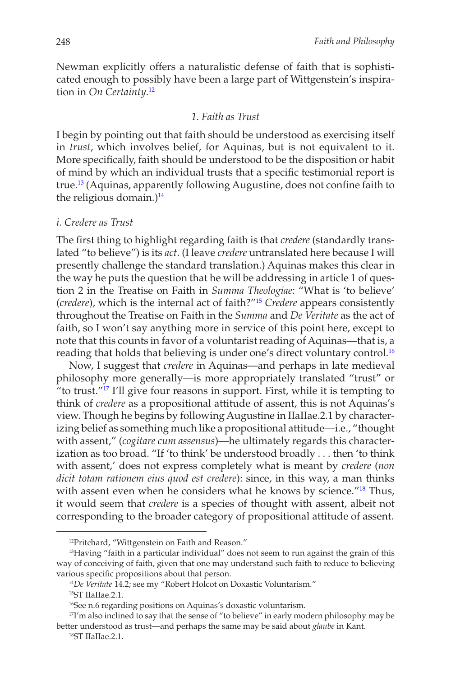Newman explicitly offers a naturalistic defense of faith that is sophisticated enough to possibly have been a large part of Wittgenstein's inspiration in *On Certainty*. 12

#### *1. Faith as Trust*

I begin by pointing out that faith should be understood as exercising itself in *trust*, which involves belief, for Aquinas, but is not equivalent to it. More specifically, faith should be understood to be the disposition or habit of mind by which an individual trusts that a specific testimonial report is true.13 (Aquinas, apparently following Augustine, does not confine faith to the religious domain.) $14$ 

#### *i. Credere as Trust*

The first thing to highlight regarding faith is that *credere* (standardly translated "to believe") is its *act*. (I leave *credere* untranslated here because I will presently challenge the standard translation.) Aquinas makes this clear in the way he puts the question that he will be addressing in article 1 of question 2 in the Treatise on Faith in *Summa Theologiae*: "What is 'to believe' (*credere*), which is the internal act of faith?"15 *Credere* appears consistently throughout the Treatise on Faith in the *Summa* and *De Veritate* as the act of faith, so I won't say anything more in service of this point here, except to note that this counts in favor of a voluntarist reading of Aquinas—that is, a reading that holds that believing is under one's direct voluntary control.<sup>16</sup>

Now, I suggest that *credere* in Aquinas—and perhaps in late medieval philosophy more generally—is more appropriately translated "trust" or "to trust."17 I'll give four reasons in support. First, while it is tempting to think of *credere* as a propositional attitude of assent, this is not Aquinas's view. Though he begins by following Augustine in IIaIIae.2.1 by characterizing belief as something much like a propositional attitude—i.e., "thought with assent," (*cogitare cum assensus*)—he ultimately regards this characterization as too broad. "If 'to think' be understood broadly . . . then 'to think with assent,' does not express completely what is meant by *credere* (*non dicit totam rationem eius quod est credere*): since, in this way, a man thinks with assent even when he considers what he knows by science.<sup>"18</sup> Thus, it would seem that *credere* is a species of thought with assent, albeit not corresponding to the broader category of propositional attitude of assent.

<sup>12</sup>Pritchard, "Wittgenstein on Faith and Reason."

<sup>&</sup>lt;sup>13</sup>Having "faith in a particular individual" does not seem to run against the grain of this way of conceiving of faith, given that one may understand such faith to reduce to believing various specific propositions about that person.

<sup>14</sup>*De Veritate* 14.2; see my "Robert Holcot on Doxastic Voluntarism."

<sup>15</sup>ST IIaIIae.2.1.

<sup>&</sup>lt;sup>16</sup>See n.6 regarding positions on Aquinas's doxastic voluntarism.

 $17$ I'm also inclined to say that the sense of "to believe" in early modern philosophy may be better understood as trust—and perhaps the same may be said about *glaube* in Kant.

<sup>18</sup>ST IIaIIae.2.1.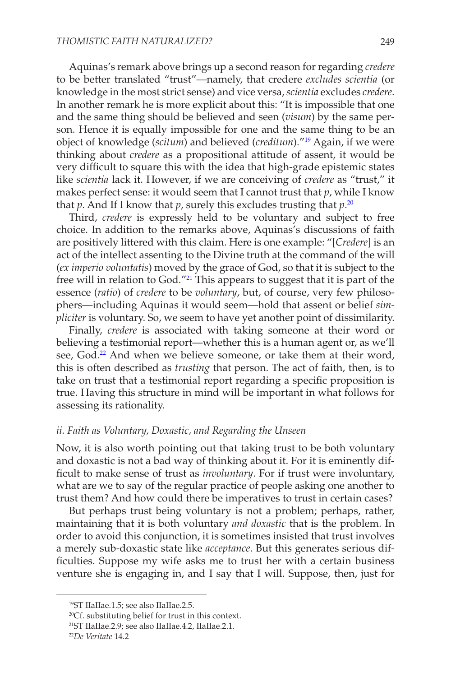Aquinas's remark above brings up a second reason for regarding *credere* to be better translated "trust"—namely, that credere *excludes scientia* (or knowledge in the most strict sense) and vice versa, *scientia* excludes *credere*. In another remark he is more explicit about this: "It is impossible that one and the same thing should be believed and seen (*visum*) by the same person. Hence it is equally impossible for one and the same thing to be an object of knowledge (*scitum*) and believed (*creditum*)."19 Again, if we were thinking about *credere* as a propositional attitude of assent, it would be very difficult to square this with the idea that high-grade epistemic states like *scientia* lack it. However, if we are conceiving of *credere* as "trust," it makes perfect sense: it would seem that I cannot trust that *p*, while I know that *p*. And If I know that *p*, surely this excludes trusting that *p*. 20

Third, *credere* is expressly held to be voluntary and subject to free choice. In addition to the remarks above, Aquinas's discussions of faith are positively littered with this claim. Here is one example: "[*Credere*] is an act of the intellect assenting to the Divine truth at the command of the will (*ex imperio voluntatis*) moved by the grace of God, so that it is subject to the free will in relation to God."21 This appears to suggest that it is part of the essence (*ratio*) of *credere* to be *voluntary*, but, of course, very few philosophers—including Aquinas it would seem—hold that assent or belief *simpliciter* is voluntary. So, we seem to have yet another point of dissimilarity.

Finally, *credere* is associated with taking someone at their word or believing a testimonial report—whether this is a human agent or, as we'll see, God.<sup>22</sup> And when we believe someone, or take them at their word, this is often described as *trusting* that person. The act of faith, then, is to take on trust that a testimonial report regarding a specific proposition is true. Having this structure in mind will be important in what follows for assessing its rationality.

#### *ii. Faith as Voluntary, Doxastic, and Regarding the Unseen*

Now, it is also worth pointing out that taking trust to be both voluntary and doxastic is not a bad way of thinking about it. For it is eminently difficult to make sense of trust as *involuntary*. For if trust were involuntary, what are we to say of the regular practice of people asking one another to trust them? And how could there be imperatives to trust in certain cases?

But perhaps trust being voluntary is not a problem; perhaps, rather, maintaining that it is both voluntary *and doxastic* that is the problem. In order to avoid this conjunction, it is sometimes insisted that trust involves a merely sub-doxastic state like *acceptance*. But this generates serious difficulties. Suppose my wife asks me to trust her with a certain business venture she is engaging in, and I say that I will. Suppose, then, just for

<sup>19</sup>ST IIaIIae.1.5; see also IIaIIae.2.5.

<sup>20</sup>Cf. substituting belief for trust in this context.

<sup>21</sup>ST IIaIIae.2.9; see also IIaIIae.4.2, IIaIIae.2.1.

<sup>22</sup>*De Veritate* 14.2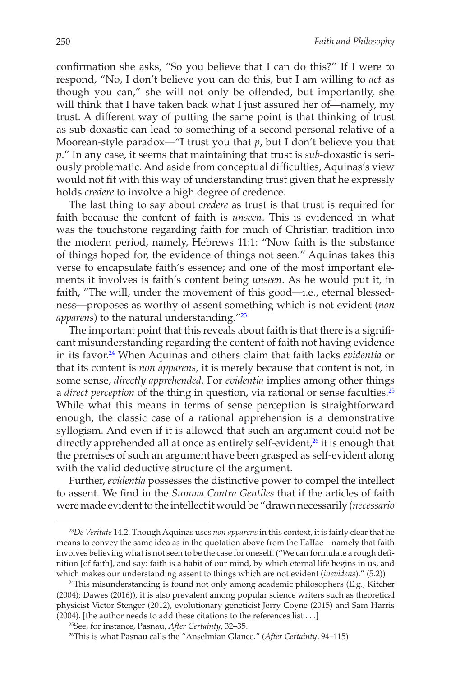confirmation she asks, "So you believe that I can do this?" If I were to respond, "No, I don't believe you can do this, but I am willing to *act* as though you can," she will not only be offended, but importantly, she will think that I have taken back what I just assured her of—namely, my trust. A different way of putting the same point is that thinking of trust as sub-doxastic can lead to something of a second-personal relative of a Moorean-style paradox—"I trust you that *p*, but I don't believe you that *p*." In any case, it seems that maintaining that trust is *sub*-doxastic is seriously problematic. And aside from conceptual difficulties, Aquinas's view would not fit with this way of understanding trust given that he expressly holds *credere* to involve a high degree of credence.

The last thing to say about *credere* as trust is that trust is required for faith because the content of faith is *unseen*. This is evidenced in what was the touchstone regarding faith for much of Christian tradition into the modern period, namely, Hebrews 11:1: "Now faith is the substance of things hoped for, the evidence of things not seen." Aquinas takes this verse to encapsulate faith's essence; and one of the most important elements it involves is faith's content being *unseen*. As he would put it, in faith, "The will, under the movement of this good—i.e., eternal blessedness—proposes as worthy of assent something which is not evident (*non*  apparens) to the natural understanding."<sup>23</sup>

The important point that this reveals about faith is that there is a significant misunderstanding regarding the content of faith not having evidence in its favor.24 When Aquinas and others claim that faith lacks *evidentia* or that its content is *non apparens*, it is merely because that content is not, in some sense, *directly apprehended*. For *evidentia* implies among other things a *direct perception* of the thing in question, via rational or sense faculties.<sup>25</sup> While what this means in terms of sense perception is straightforward enough, the classic case of a rational apprehension is a demonstrative syllogism. And even if it is allowed that such an argument could not be directly apprehended all at once as entirely self-evident,<sup>26</sup> it is enough that the premises of such an argument have been grasped as self-evident along with the valid deductive structure of the argument.

Further, *evidentia* possesses the distinctive power to compel the intellect to assent. We find in the *Summa Contra Gentiles* that if the articles of faith were made evident to the intellect it would be "drawn necessarily (*necessario* 

<sup>23</sup>*De Veritate* 14.2. Though Aquinas uses *non apparens* in this context, it is fairly clear that he means to convey the same idea as in the quotation above from the IIaIIae—namely that faith involves believing what is not seen to be the case for oneself. ("We can formulate a rough definition [of faith], and say: faith is a habit of our mind, by which eternal life begins in us, and which makes our understanding assent to things which are not evident (*inevidens*)." (5.2))

<sup>&</sup>lt;sup>24</sup>This misunderstanding is found not only among academic philosophers (E.g., Kitcher (2004); Dawes (2016)), it is also prevalent among popular science writers such as theoretical physicist Victor Stenger (2012), evolutionary geneticist Jerry Coyne (2015) and Sam Harris (2004). [the author needs to add these citations to the references list . . .]

<sup>25</sup>See, for instance, Pasnau, *After Certainty*, 32–35.

<sup>26</sup>This is what Pasnau calls the "Anselmian Glance." (*After Certainty*, 94–115)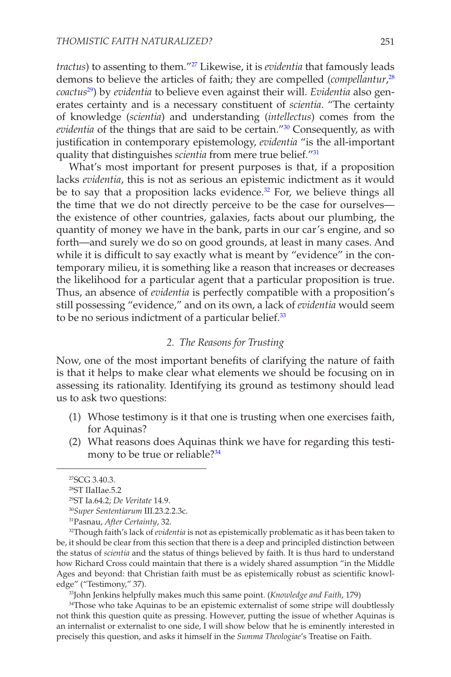*tractus*) to assenting to them."27 Likewise, it is *evidentia* that famously leads demons to believe the articles of faith; they are compelled (*compellantur*, 28 *coactus*29) by *evidentia* to believe even against their will. *Evidentia* also generates certainty and is a necessary constituent of *scientia*. "The certainty of knowledge (*scientia*) and understanding (*intellectus*) comes from the *evidentia* of the things that are said to be certain."30 Consequently, as with justification in contemporary epistemology, *evidentia* "is the all-important quality that distinguishes *scientia* from mere true belief."31

What's most important for present purposes is that, if a proposition lacks *evidentia*, this is not as serious an epistemic indictment as it would be to say that a proposition lacks evidence.<sup>32</sup> For, we believe things all the time that we do not directly perceive to be the case for ourselves the existence of other countries, galaxies, facts about our plumbing, the quantity of money we have in the bank, parts in our car's engine, and so forth—and surely we do so on good grounds, at least in many cases. And while it is difficult to say exactly what is meant by "evidence" in the contemporary milieu, it is something like a reason that increases or decreases the likelihood for a particular agent that a particular proposition is true. Thus, an absence of *evidentia* is perfectly compatible with a proposition's still possessing "evidence," and on its own, a lack of *evidentia* would seem to be no serious indictment of a particular belief.<sup>33</sup>

#### *2. The Reasons for Trusting*

Now, one of the most important benefits of clarifying the nature of faith is that it helps to make clear what elements we should be focusing on in assessing its rationality. Identifying its ground as testimony should lead us to ask two questions:

- (1) Whose testimony is it that one is trusting when one exercises faith, for Aquinas?
- (2) What reasons does Aquinas think we have for regarding this testimony to be true or reliable?<sup>34</sup>

33John Jenkins helpfully makes much this same point. (*Knowledge and Faith*, 179)

<sup>34</sup>Those who take Aquinas to be an epistemic externalist of some stripe will doubtlessly not think this question quite as pressing. However, putting the issue of whether Aquinas is an internalist or externalist to one side, I will show below that he is eminently interested in precisely this question, and asks it himself in the *Summa Theologiae*'s Treatise on Faith.

<sup>27</sup>SCG 3.40.3.

<sup>28</sup>ST IIaIIae.5.2

<sup>29</sup>ST Ia.64.2; *De Veritate* 14.9.

<sup>30</sup>*Super Sententiarum* III.23.2.2.3c.

<sup>31</sup>Pasnau, *After Certainty*, 32.

<sup>32</sup>Though faith's lack of *evidentia* is not as epistemically problematic as it has been taken to be, it should be clear from this section that there is a deep and principled distinction between the status of *scientia* and the status of things believed by faith. It is thus hard to understand how Richard Cross could maintain that there is a widely shared assumption "in the Middle Ages and beyond: that Christian faith must be as epistemically robust as scientific knowledge" ("Testimony," 37).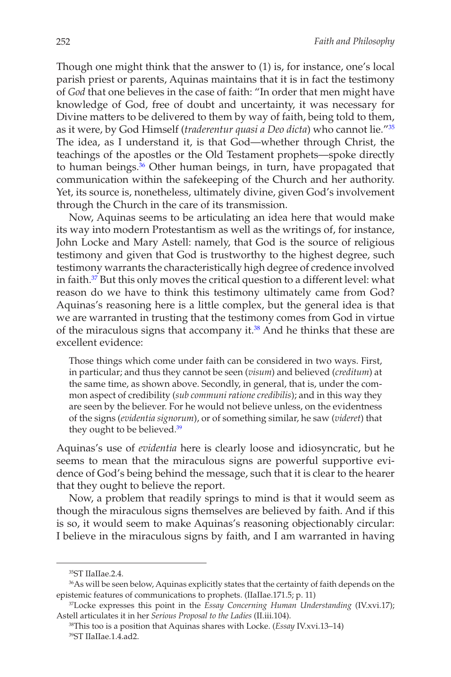Though one might think that the answer to (1) is, for instance, one's local parish priest or parents, Aquinas maintains that it is in fact the testimony of *God* that one believes in the case of faith: "In order that men might have knowledge of God, free of doubt and uncertainty, it was necessary for Divine matters to be delivered to them by way of faith, being told to them, as it were, by God Himself (*traderentur quasi a Deo dicta*) who cannot lie."35 The idea, as I understand it, is that God—whether through Christ, the teachings of the apostles or the Old Testament prophets—spoke directly to human beings.<sup>36</sup> Other human beings, in turn, have propagated that communication within the safekeeping of the Church and her authority. Yet, its source is, nonetheless, ultimately divine, given God's involvement through the Church in the care of its transmission.

Now, Aquinas seems to be articulating an idea here that would make its way into modern Protestantism as well as the writings of, for instance, John Locke and Mary Astell: namely, that God is the source of religious testimony and given that God is trustworthy to the highest degree, such testimony warrants the characteristically high degree of credence involved in faith.<sup>37</sup> But this only moves the critical question to a different level: what reason do we have to think this testimony ultimately came from God? Aquinas's reasoning here is a little complex, but the general idea is that we are warranted in trusting that the testimony comes from God in virtue of the miraculous signs that accompany it.<sup>38</sup> And he thinks that these are excellent evidence:

Those things which come under faith can be considered in two ways. First, in particular; and thus they cannot be seen (*visum*) and believed (*creditum*) at the same time, as shown above. Secondly, in general, that is, under the common aspect of credibility (*sub communi ratione credibilis*); and in this way they are seen by the believer. For he would not believe unless, on the evidentness of the signs (*evidentia signorum*), or of something similar, he saw (*videret*) that they ought to be believed.<sup>39</sup>

Aquinas's use of *evidentia* here is clearly loose and idiosyncratic, but he seems to mean that the miraculous signs are powerful supportive evidence of God's being behind the message, such that it is clear to the hearer that they ought to believe the report.

Now, a problem that readily springs to mind is that it would seem as though the miraculous signs themselves are believed by faith. And if this is so, it would seem to make Aquinas's reasoning objectionably circular: I believe in the miraculous signs by faith, and I am warranted in having

<sup>35</sup>ST IIaIIae.2.4.

<sup>36</sup>As will be seen below, Aquinas explicitly states that the certainty of faith depends on the epistemic features of communications to prophets. (IIaIIae.171.5; p. 11)

<sup>37</sup>Locke expresses this point in the *Essay Concerning Human Understanding* (IV.xvi.17); Astell articulates it in her *Serious Proposal to the Ladies* (II.iii.104).

<sup>38</sup>This too is a position that Aquinas shares with Locke. (*Essay* IV.xvi.13–14) 39ST IIaIIae.1.4.ad2.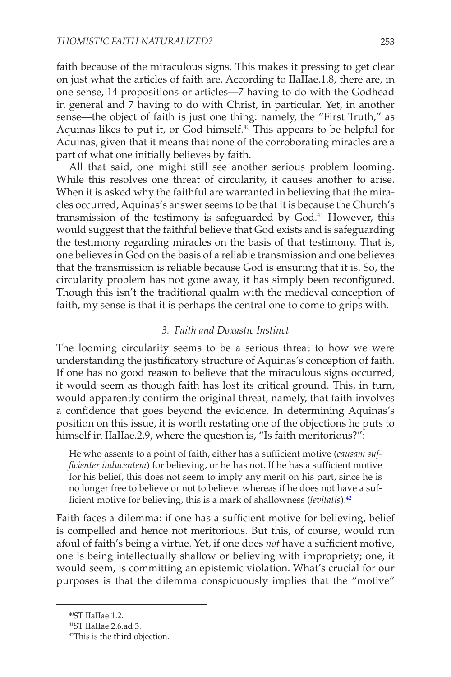faith because of the miraculous signs. This makes it pressing to get clear on just what the articles of faith are. According to IIaIIae.1.8, there are, in one sense, 14 propositions or articles—7 having to do with the Godhead in general and 7 having to do with Christ, in particular. Yet, in another sense—the object of faith is just one thing: namely, the "First Truth," as Aquinas likes to put it, or God himself.<sup>40</sup> This appears to be helpful for Aquinas, given that it means that none of the corroborating miracles are a part of what one initially believes by faith.

All that said, one might still see another serious problem looming. While this resolves one threat of circularity, it causes another to arise. When it is asked why the faithful are warranted in believing that the miracles occurred, Aquinas's answer seems to be that it is because the Church's transmission of the testimony is safeguarded by God.<sup>41</sup> However, this would suggest that the faithful believe that God exists and is safeguarding the testimony regarding miracles on the basis of that testimony. That is, one believes in God on the basis of a reliable transmission and one believes that the transmission is reliable because God is ensuring that it is. So, the circularity problem has not gone away, it has simply been reconfigured. Though this isn't the traditional qualm with the medieval conception of faith, my sense is that it is perhaps the central one to come to grips with.

#### *3. Faith and Doxastic Instinct*

The looming circularity seems to be a serious threat to how we were understanding the justificatory structure of Aquinas's conception of faith. If one has no good reason to believe that the miraculous signs occurred, it would seem as though faith has lost its critical ground. This, in turn, would apparently confirm the original threat, namely, that faith involves a confidence that goes beyond the evidence. In determining Aquinas's position on this issue, it is worth restating one of the objections he puts to himself in IIaIIae.2.9, where the question is, "Is faith meritorious?":

He who assents to a point of faith, either has a sufficient motive (*causam sufficienter inducentem*) for believing, or he has not. If he has a sufficient motive for his belief, this does not seem to imply any merit on his part, since he is no longer free to believe or not to believe: whereas if he does not have a sufficient motive for believing, this is a mark of shallowness (*levitatis*).42

Faith faces a dilemma: if one has a sufficient motive for believing, belief is compelled and hence not meritorious. But this, of course, would run afoul of faith's being a virtue. Yet, if one does *not* have a sufficient motive, one is being intellectually shallow or believing with impropriety; one, it would seem, is committing an epistemic violation. What's crucial for our purposes is that the dilemma conspicuously implies that the "motive"

<sup>40</sup>ST IIaIIae.1.2.

<sup>41</sup>ST IIaIIae.2.6.ad 3.

<sup>42</sup>This is the third objection.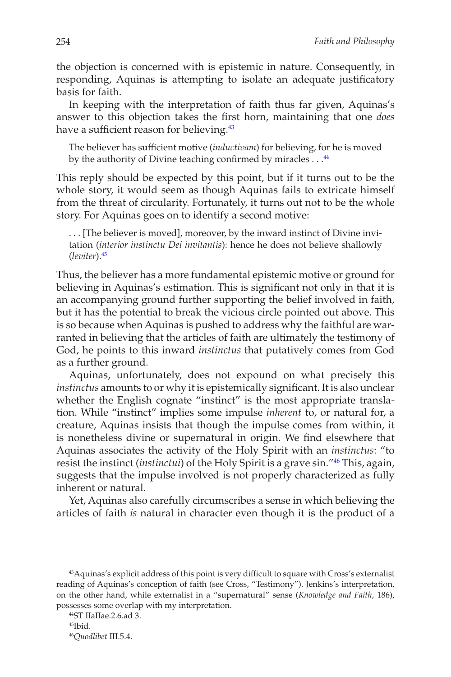the objection is concerned with is epistemic in nature. Consequently, in responding, Aquinas is attempting to isolate an adequate justificatory basis for faith.

In keeping with the interpretation of faith thus far given, Aquinas's answer to this objection takes the first horn, maintaining that one *does* have a sufficient reason for believing.<sup>43</sup>

The believer has sufficient motive (*inductivam*) for believing, for he is moved by the authority of Divine teaching confirmed by miracles . . . <sup>44</sup>

This reply should be expected by this point, but if it turns out to be the whole story, it would seem as though Aquinas fails to extricate himself from the threat of circularity. Fortunately, it turns out not to be the whole story. For Aquinas goes on to identify a second motive:

. . . [The believer is moved], moreover, by the inward instinct of Divine invitation (*interior instinctu Dei invitantis*): hence he does not believe shallowly (*leviter*).45

Thus, the believer has a more fundamental epistemic motive or ground for believing in Aquinas's estimation. This is significant not only in that it is an accompanying ground further supporting the belief involved in faith, but it has the potential to break the vicious circle pointed out above. This is so because when Aquinas is pushed to address why the faithful are warranted in believing that the articles of faith are ultimately the testimony of God, he points to this inward *instinctus* that putatively comes from God as a further ground.

Aquinas, unfortunately, does not expound on what precisely this *instinctus* amounts to or why it is epistemically significant. It is also unclear whether the English cognate "instinct" is the most appropriate translation. While "instinct" implies some impulse *inherent* to, or natural for, a creature, Aquinas insists that though the impulse comes from within, it is nonetheless divine or supernatural in origin. We find elsewhere that Aquinas associates the activity of the Holy Spirit with an *instinctus*: "to resist the instinct (*instinctui*) of the Holy Spirit is a grave sin."46 This, again, suggests that the impulse involved is not properly characterized as fully inherent or natural.

Yet, Aquinas also carefully circumscribes a sense in which believing the articles of faith *is* natural in character even though it is the product of a

<sup>43</sup>Aquinas's explicit address of this point is very difficult to square with Cross's externalist reading of Aquinas's conception of faith (see Cross, "Testimony"). Jenkins's interpretation, on the other hand, while externalist in a "supernatural" sense (*Knowledge and Faith*, 186), possesses some overlap with my interpretation.

<sup>44</sup>ST IIaIIae.2.6.ad 3.

 $45$ Ibid.

<sup>46</sup>*Quodlibet* III.5.4.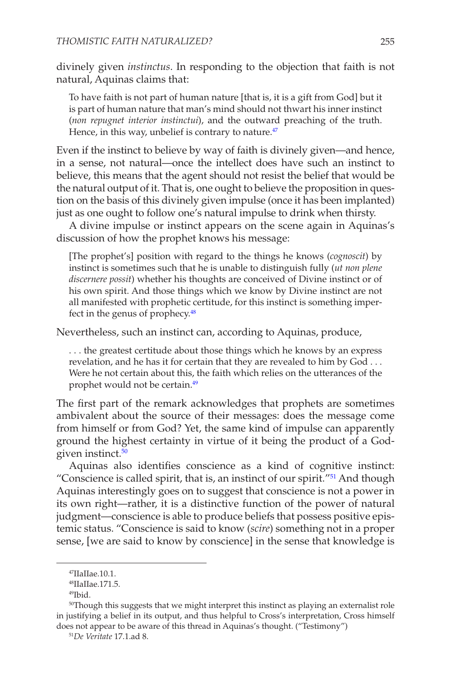divinely given *instinctus*. In responding to the objection that faith is not natural, Aquinas claims that:

To have faith is not part of human nature [that is, it is a gift from God] but it is part of human nature that man's mind should not thwart his inner instinct (*non repugnet interior instinctui*), and the outward preaching of the truth. Hence, in this way, unbelief is contrary to nature. $47$ 

Even if the instinct to believe by way of faith is divinely given—and hence, in a sense, not natural—once the intellect does have such an instinct to believe, this means that the agent should not resist the belief that would be the natural output of it. That is, one ought to believe the proposition in question on the basis of this divinely given impulse (once it has been implanted) just as one ought to follow one's natural impulse to drink when thirsty.

A divine impulse or instinct appears on the scene again in Aquinas's discussion of how the prophet knows his message:

[The prophet's] position with regard to the things he knows (*cognoscit*) by instinct is sometimes such that he is unable to distinguish fully (*ut non plene discernere possit*) whether his thoughts are conceived of Divine instinct or of his own spirit. And those things which we know by Divine instinct are not all manifested with prophetic certitude, for this instinct is something imperfect in the genus of prophecy.<sup>48</sup>

Nevertheless, such an instinct can, according to Aquinas, produce,

. . . the greatest certitude about those things which he knows by an express revelation, and he has it for certain that they are revealed to him by God . . . Were he not certain about this, the faith which relies on the utterances of the prophet would not be certain.<sup>49</sup>

The first part of the remark acknowledges that prophets are sometimes ambivalent about the source of their messages: does the message come from himself or from God? Yet, the same kind of impulse can apparently ground the highest certainty in virtue of it being the product of a Godgiven instinct.<sup>50</sup>

Aquinas also identifies conscience as a kind of cognitive instinct: "Conscience is called spirit, that is, an instinct of our spirit."51 And though Aquinas interestingly goes on to suggest that conscience is not a power in its own right—rather, it is a distinctive function of the power of natural judgment—conscience is able to produce beliefs that possess positive epistemic status. "Conscience is said to know (*scire*) something not in a proper sense, [we are said to know by conscience] in the sense that knowledge is

<sup>47</sup>IIaIIae.10.1.

<sup>48</sup>IIaIIae.171.5.

<sup>49</sup>Ibid.

 $50$ Though this suggests that we might interpret this instinct as playing an externalist role in justifying a belief in its output, and thus helpful to Cross's interpretation, Cross himself does not appear to be aware of this thread in Aquinas's thought. ("Testimony")

<sup>51</sup>*De Veritate* 17.1.ad 8.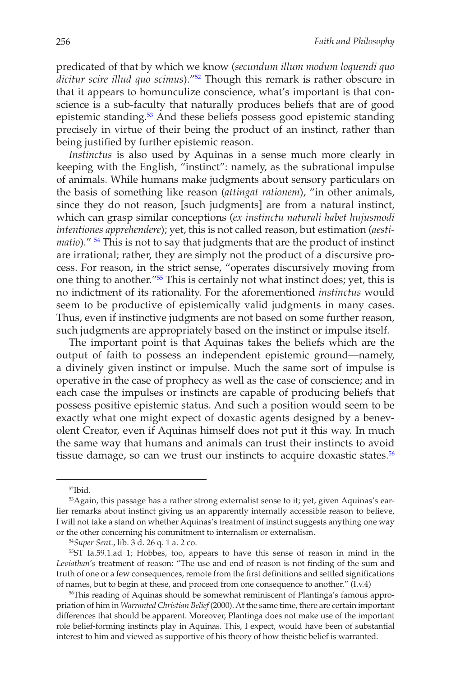predicated of that by which we know (*secundum illum modum loquendi quo dicitur scire illud quo scimus*)."52 Though this remark is rather obscure in that it appears to homunculize conscience, what's important is that conscience is a sub-faculty that naturally produces beliefs that are of good epistemic standing.53 And these beliefs possess good epistemic standing precisely in virtue of their being the product of an instinct, rather than being justified by further epistemic reason.

*Instinctus* is also used by Aquinas in a sense much more clearly in keeping with the English, "instinct": namely, as the subrational impulse of animals. While humans make judgments about sensory particulars on the basis of something like reason (*attingat rationem*), "in other animals, since they do not reason, [such judgments] are from a natural instinct, which can grasp similar conceptions (*ex instinctu naturali habet hujusmodi intentiones apprehendere*); yet, this is not called reason, but estimation (*aestimatio*)." 54 This is not to say that judgments that are the product of instinct are irrational; rather, they are simply not the product of a discursive process. For reason, in the strict sense, "operates discursively moving from one thing to another."55 This is certainly not what instinct does; yet, this is no indictment of its rationality. For the aforementioned *instinctus* would seem to be productive of epistemically valid judgments in many cases. Thus, even if instinctive judgments are not based on some further reason, such judgments are appropriately based on the instinct or impulse itself.

The important point is that Aquinas takes the beliefs which are the output of faith to possess an independent epistemic ground—namely, a divinely given instinct or impulse. Much the same sort of impulse is operative in the case of prophecy as well as the case of conscience; and in each case the impulses or instincts are capable of producing beliefs that possess positive epistemic status. And such a position would seem to be exactly what one might expect of doxastic agents designed by a benevolent Creator, even if Aquinas himself does not put it this way. In much the same way that humans and animals can trust their instincts to avoid tissue damage, so can we trust our instincts to acquire doxastic states. $56$ 

52Ibid.

<sup>&</sup>lt;sup>53</sup>Again, this passage has a rather strong externalist sense to it; yet, given Aquinas's earlier remarks about instinct giving us an apparently internally accessible reason to believe, I will not take a stand on whether Aquinas's treatment of instinct suggests anything one way or the other concerning his commitment to internalism or externalism.

<sup>54</sup>*Super Sent*., lib. 3 d. 26 q. 1 a. 2 co.

<sup>55</sup>ST Ia.59.1.ad 1; Hobbes, too, appears to have this sense of reason in mind in the *Leviathan*'s treatment of reason: "The use and end of reason is not finding of the sum and truth of one or a few consequences, remote from the first definitions and settled significations of names, but to begin at these, and proceed from one consequence to another." (I.v.4)

<sup>56</sup>This reading of Aquinas should be somewhat reminiscent of Plantinga's famous appropriation of him in *Warranted Christian Belief* (2000). At the same time, there are certain important differences that should be apparent. Moreover, Plantinga does not make use of the important role belief-forming instincts play in Aquinas. This, I expect, would have been of substantial interest to him and viewed as supportive of his theory of how theistic belief is warranted.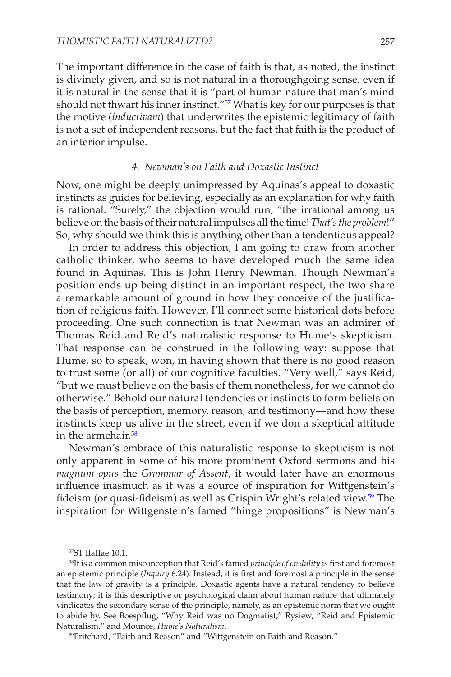The important difference in the case of faith is that, as noted, the instinct is divinely given, and so is not natural in a thoroughgoing sense, even if it is natural in the sense that it is "part of human nature that man's mind should not thwart his inner instinct."57 What is key for our purposes is that the motive (*inductivam*) that underwrites the epistemic legitimacy of faith is not a set of independent reasons, but the fact that faith is the product of an interior impulse.

#### *4. Newman's on Faith and Doxastic Instinct*

Now, one might be deeply unimpressed by Aquinas's appeal to doxastic instincts as guides for believing, especially as an explanation for why faith is rational. "Surely," the objection would run, "the irrational among us believe on the basis of their natural impulses all the time! *That's the problem*!" So, why should we think this is anything other than a tendentious appeal?

In order to address this objection, I am going to draw from another catholic thinker, who seems to have developed much the same idea found in Aquinas. This is John Henry Newman. Though Newman's position ends up being distinct in an important respect, the two share a remarkable amount of ground in how they conceive of the justification of religious faith. However, I'll connect some historical dots before proceeding. One such connection is that Newman was an admirer of Thomas Reid and Reid's naturalistic response to Hume's skepticism. That response can be construed in the following way: suppose that Hume, so to speak, won, in having shown that there is no good reason to trust some (or all) of our cognitive faculties. "Very well," says Reid, "but we must believe on the basis of them nonetheless, for we cannot do otherwise." Behold our natural tendencies or instincts to form beliefs on the basis of perception, memory, reason, and testimony—and how these instincts keep us alive in the street, even if we don a skeptical attitude in the armchair.<sup>58</sup>

Newman's embrace of this naturalistic response to skepticism is not only apparent in some of his more prominent Oxford sermons and his *magnum opus* the *Grammar of Assent*, it would later have an enormous influence inasmuch as it was a source of inspiration for Wittgenstein's fideism (or quasi-fideism) as well as Crispin Wright's related view.<sup>59</sup> The inspiration for Wittgenstein's famed "hinge propositions" is Newman's

<sup>57</sup>ST IIaIIae.10.1.

<sup>58</sup>It is a common misconception that Reid's famed *principle of credulity* is first and foremost an epistemic principle (*Inquiry* 6.24). Instead, it is first and foremost a principle in the sense that the law of gravity is a principle. Doxastic agents have a natural tendency to believe testimony; it is this descriptive or psychological claim about human nature that ultimately vindicates the secondary sense of the principle, namely, as an epistemic norm that we ought to abide by. See Boespflug, "Why Reid was no Dogmatist," Rysiew, "Reid and Epistemic Naturalism," and Mounce, *Hume's Naturalism*.

<sup>59</sup>Pritchard, "Faith and Reason" and "Wittgenstein on Faith and Reason."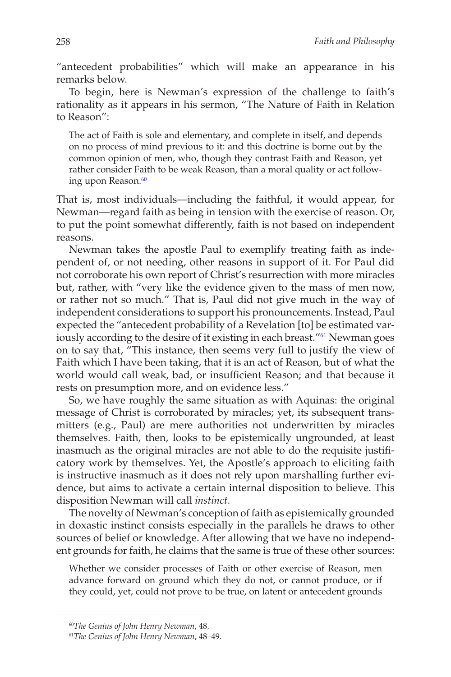"antecedent probabilities" which will make an appearance in his remarks below.

To begin, here is Newman's expression of the challenge to faith's rationality as it appears in his sermon, "The Nature of Faith in Relation to Reason":

The act of Faith is sole and elementary, and complete in itself, and depends on no process of mind previous to it: and this doctrine is borne out by the common opinion of men, who, though they contrast Faith and Reason, yet rather consider Faith to be weak Reason, than a moral quality or act following upon Reason.<sup>60</sup>

That is, most individuals—including the faithful, it would appear, for Newman—regard faith as being in tension with the exercise of reason. Or, to put the point somewhat differently, faith is not based on independent reasons.

Newman takes the apostle Paul to exemplify treating faith as independent of, or not needing, other reasons in support of it. For Paul did not corroborate his own report of Christ's resurrection with more miracles but, rather, with "very like the evidence given to the mass of men now, or rather not so much." That is, Paul did not give much in the way of independent considerations to support his pronouncements. Instead, Paul expected the "antecedent probability of a Revelation [to] be estimated variously according to the desire of it existing in each breast."<sup>61</sup> Newman goes on to say that, "This instance, then seems very full to justify the view of Faith which I have been taking, that it is an act of Reason, but of what the world would call weak, bad, or insufficient Reason; and that because it rests on presumption more, and on evidence less."

So, we have roughly the same situation as with Aquinas: the original message of Christ is corroborated by miracles; yet, its subsequent transmitters (e.g., Paul) are mere authorities not underwritten by miracles themselves. Faith, then, looks to be epistemically ungrounded, at least inasmuch as the original miracles are not able to do the requisite justificatory work by themselves. Yet, the Apostle's approach to eliciting faith is instructive inasmuch as it does not rely upon marshalling further evidence, but aims to activate a certain internal disposition to believe. This disposition Newman will call *instinct*.

The novelty of Newman's conception of faith as epistemically grounded in doxastic instinct consists especially in the parallels he draws to other sources of belief or knowledge. After allowing that we have no independent grounds for faith, he claims that the same is true of these other sources:

Whether we consider processes of Faith or other exercise of Reason, men advance forward on ground which they do not, or cannot produce, or if they could, yet, could not prove to be true, on latent or antecedent grounds

<sup>60</sup>*The Genius of John Henry Newman*, 48.

<sup>61</sup>*The Genius of John Henry Newman*, 48–49.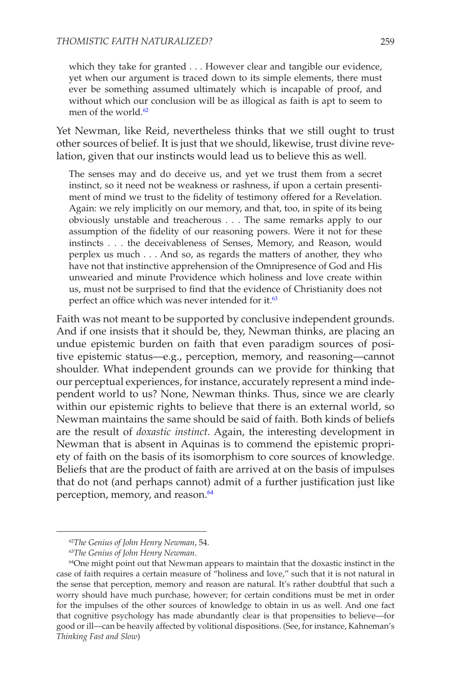which they take for granted . . . However clear and tangible our evidence, yet when our argument is traced down to its simple elements, there must ever be something assumed ultimately which is incapable of proof, and without which our conclusion will be as illogical as faith is apt to seem to men of the world.<sup>62</sup>

Yet Newman, like Reid, nevertheless thinks that we still ought to trust other sources of belief. It is just that we should, likewise, trust divine revelation, given that our instincts would lead us to believe this as well.

The senses may and do deceive us, and yet we trust them from a secret instinct, so it need not be weakness or rashness, if upon a certain presentiment of mind we trust to the fidelity of testimony offered for a Revelation. Again: we rely implicitly on our memory, and that, too, in spite of its being obviously unstable and treacherous . . . The same remarks apply to our assumption of the fidelity of our reasoning powers. Were it not for these instincts . . . the deceivableness of Senses, Memory, and Reason, would perplex us much . . . And so, as regards the matters of another, they who have not that instinctive apprehension of the Omnipresence of God and His unwearied and minute Providence which holiness and love create within us, must not be surprised to find that the evidence of Christianity does not perfect an office which was never intended for it.<sup>63</sup>

Faith was not meant to be supported by conclusive independent grounds. And if one insists that it should be, they, Newman thinks, are placing an undue epistemic burden on faith that even paradigm sources of positive epistemic status—e.g., perception, memory, and reasoning—cannot shoulder. What independent grounds can we provide for thinking that our perceptual experiences, for instance, accurately represent a mind independent world to us? None, Newman thinks. Thus, since we are clearly within our epistemic rights to believe that there is an external world, so Newman maintains the same should be said of faith. Both kinds of beliefs are the result of *doxastic instinct*. Again, the interesting development in Newman that is absent in Aquinas is to commend the epistemic propriety of faith on the basis of its isomorphism to core sources of knowledge. Beliefs that are the product of faith are arrived at on the basis of impulses that do not (and perhaps cannot) admit of a further justification just like perception, memory, and reason.<sup>64</sup>

<sup>62</sup>*The Genius of John Henry Newman*, 54.

<sup>63</sup>*The Genius of John Henry Newman*.

<sup>64</sup>One might point out that Newman appears to maintain that the doxastic instinct in the case of faith requires a certain measure of "holiness and love," such that it is not natural in the sense that perception, memory and reason are natural. It's rather doubtful that such a worry should have much purchase, however; for certain conditions must be met in order for the impulses of the other sources of knowledge to obtain in us as well. And one fact that cognitive psychology has made abundantly clear is that propensities to believe—for good or ill—can be heavily affected by volitional dispositions. (See, for instance, Kahneman's *Thinking Fast and Slow*)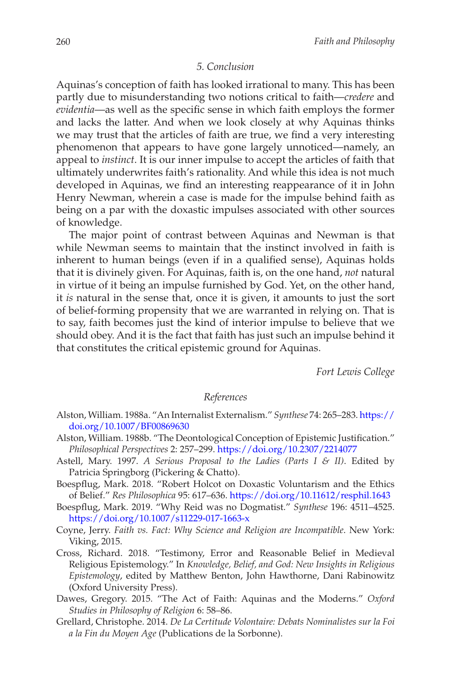### *5. Conclusion*

Aquinas's conception of faith has looked irrational to many. This has been partly due to misunderstanding two notions critical to faith—*credere* and *evidentia*—as well as the specific sense in which faith employs the former and lacks the latter. And when we look closely at why Aquinas thinks we may trust that the articles of faith are true, we find a very interesting phenomenon that appears to have gone largely unnoticed—namely, an appeal to *instinct*. It is our inner impulse to accept the articles of faith that ultimately underwrites faith's rationality. And while this idea is not much developed in Aquinas, we find an interesting reappearance of it in John Henry Newman, wherein a case is made for the impulse behind faith as being on a par with the doxastic impulses associated with other sources of knowledge.

The major point of contrast between Aquinas and Newman is that while Newman seems to maintain that the instinct involved in faith is inherent to human beings (even if in a qualified sense), Aquinas holds that it is divinely given. For Aquinas, faith is, on the one hand, *not* natural in virtue of it being an impulse furnished by God. Yet, on the other hand, it *is* natural in the sense that, once it is given, it amounts to just the sort of belief-forming propensity that we are warranted in relying on. That is to say, faith becomes just the kind of interior impulse to believe that we should obey. And it is the fact that faith has just such an impulse behind it that constitutes the critical epistemic ground for Aquinas.

*Fort Lewis College*

## *References*

- Alston, William. 1988a. "An Internalist Externalism." *Synthese* 74: 265–283. [https://](https://doi.org/10.1007/BF00869630) [doi.org/10.1007/BF00869630](https://doi.org/10.1007/BF00869630)
- Alston, William. 1988b. "The Deontological Conception of Epistemic Justification." *Philosophical Perspectives* 2: 257–299.<https://doi.org/10.2307/2214077>
- Astell, Mary. 1997. *A Serious Proposal to the Ladies (Parts I & II)*. Edited by Patricia Springborg (Pickering & Chatto).
- Boespflug, Mark. 2018. "Robert Holcot on Doxastic Voluntarism and the Ethics of Belief." *Res Philosophica* 95: 617–636.<https://doi.org/10.11612/resphil.1643>
- Boespflug, Mark. 2019. "Why Reid was no Dogmatist." *Synthese* 196: 4511–4525. <https://doi.org/10.1007/s11229-017-1663-x>
- Coyne, Jerry. *Faith vs. Fact: Why Science and Religion are Incompatible*. New York: Viking, 2015.
- Cross, Richard. 2018. "Testimony, Error and Reasonable Belief in Medieval Religious Epistemology." In *Knowledge, Belief, and God: New Insights in Religious Epistemology*, edited by Matthew Benton, John Hawthorne, Dani Rabinowitz (Oxford University Press).
- Dawes, Gregory. 2015. "The Act of Faith: Aquinas and the Moderns." *Oxford Studies in Philosophy of Religion* 6: 58–86.
- Grellard, Christophe. 2014. *De La Certitude Volontaire: Debats Nominalistes sur la Foi a la Fin du Moyen Age* (Publications de la Sorbonne).